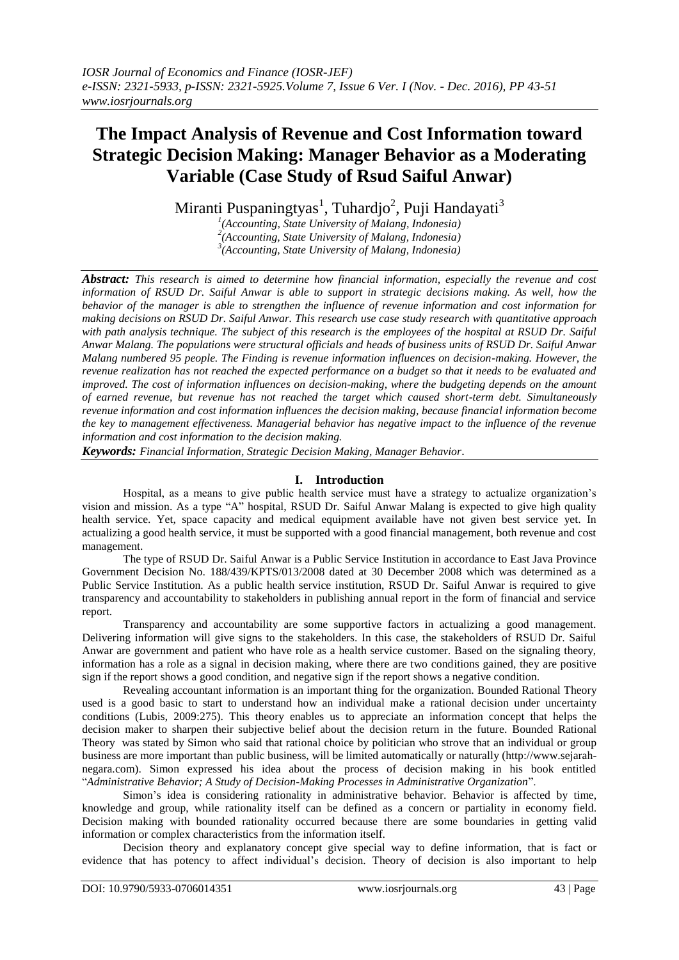## **The Impact Analysis of Revenue and Cost Information toward Strategic Decision Making: Manager Behavior as a Moderating Variable (Case Study of Rsud Saiful Anwar)**

Miranti Puspaningtyas<sup>1</sup>, Tuhardjo<sup>2</sup>, Puji Handayati<sup>3</sup>

<sup>*1*</sup>(Accounting, State University of Malang, Indonesia)<br><sup>2</sup>(Accounting, State University of Malang, Indonesia) *(Accounting, State University of Malang, Indonesia) 3 (Accounting, State University of Malang, Indonesia)*

*Abstract: This research is aimed to determine how financial information, especially the revenue and cost information of RSUD Dr. Saiful Anwar is able to support in strategic decisions making. As well, how the behavior of the manager is able to strengthen the influence of revenue information and cost information for making decisions on RSUD Dr. Saiful Anwar. This research use case study research with quantitative approach*  with path analysis technique. The subject of this research is the employees of the hospital at RSUD Dr. Saiful *Anwar Malang. The populations were structural officials and heads of business units of RSUD Dr. Saiful Anwar Malang numbered 95 people. The Finding is revenue information influences on decision-making. However, the revenue realization has not reached the expected performance on a budget so that it needs to be evaluated and improved. The cost of information influences on decision-making, where the budgeting depends on the amount of earned revenue, but revenue has not reached the target which caused short-term debt. Simultaneously revenue information and cost information influences the decision making, because financial information become the key to management effectiveness. Managerial behavior has negative impact to the influence of the revenue information and cost information to the decision making.*

*Keywords: Financial Information, Strategic Decision Making, Manager Behavior*.

## **I. Introduction**

Hospital, as a means to give public health service must have a strategy to actualize organization's vision and mission. As a type "A" hospital, RSUD Dr. Saiful Anwar Malang is expected to give high quality health service. Yet, space capacity and medical equipment available have not given best service yet. In actualizing a good health service, it must be supported with a good financial management, both revenue and cost management.

The type of RSUD Dr. Saiful Anwar is a Public Service Institution in accordance to East Java Province Government Decision No. 188/439/KPTS/013/2008 dated at 30 December 2008 which was determined as a Public Service Institution. As a public health service institution, RSUD Dr. Saiful Anwar is required to give transparency and accountability to stakeholders in publishing annual report in the form of financial and service report.

Transparency and accountability are some supportive factors in actualizing a good management. Delivering information will give signs to the stakeholders. In this case, the stakeholders of RSUD Dr. Saiful Anwar are government and patient who have role as a health service customer. Based on the signaling theory, information has a role as a signal in decision making, where there are two conditions gained, they are positive sign if the report shows a good condition, and negative sign if the report shows a negative condition.

Revealing accountant information is an important thing for the organization. Bounded Rational Theory used is a good basic to start to understand how an individual make a rational decision under uncertainty conditions (Lubis, 2009:275). This theory enables us to appreciate an information concept that helps the decision maker to sharpen their subjective belief about the decision return in the future. Bounded Rational Theory was stated by Simon who said that rational choice by politician who strove that an individual or group business are more important than public business, will be limited automatically or naturally [\(http://www.sejarah](http://www.sejarah-negara.com/)[negara.com\)](http://www.sejarah-negara.com/). Simon expressed his idea about the process of decision making in his book entitled "*Administrative Behavior; A Study of Decision-Making Processes in Administrative Organization*".

Simon's idea is considering rationality in administrative behavior. Behavior is affected by time, knowledge and group, while rationality itself can be defined as a concern or partiality in economy field. Decision making with bounded rationality occurred because there are some boundaries in getting valid information or complex characteristics from the information itself.

Decision theory and explanatory concept give special way to define information, that is fact or evidence that has potency to affect individual's decision. Theory of decision is also important to help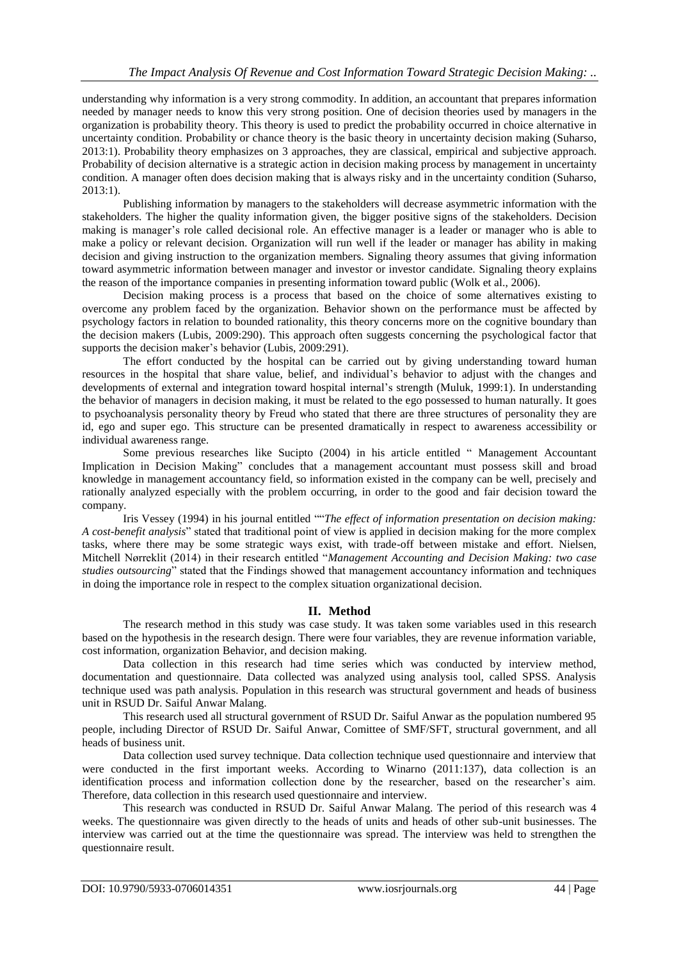understanding why information is a very strong commodity. In addition, an accountant that prepares information needed by manager needs to know this very strong position. One of decision theories used by managers in the organization is probability theory. This theory is used to predict the probability occurred in choice alternative in uncertainty condition. Probability or chance theory is the basic theory in uncertainty decision making (Suharso, 2013:1). Probability theory emphasizes on 3 approaches, they are classical, empirical and subjective approach. Probability of decision alternative is a strategic action in decision making process by management in uncertainty condition. A manager often does decision making that is always risky and in the uncertainty condition (Suharso, 2013:1).

Publishing information by managers to the stakeholders will decrease asymmetric information with the stakeholders. The higher the quality information given, the bigger positive signs of the stakeholders. Decision making is manager's role called decisional role. An effective manager is a leader or manager who is able to make a policy or relevant decision. Organization will run well if the leader or manager has ability in making decision and giving instruction to the organization members. Signaling theory assumes that giving information toward asymmetric information between manager and investor or investor candidate. Signaling theory explains the reason of the importance companies in presenting information toward public (Wolk et al., 2006).

Decision making process is a process that based on the choice of some alternatives existing to overcome any problem faced by the organization. Behavior shown on the performance must be affected by psychology factors in relation to bounded rationality, this theory concerns more on the cognitive boundary than the decision makers (Lubis, 2009:290). This approach often suggests concerning the psychological factor that supports the decision maker's behavior (Lubis, 2009:291).

The effort conducted by the hospital can be carried out by giving understanding toward human resources in the hospital that share value, belief, and individual's behavior to adjust with the changes and developments of external and integration toward hospital internal's strength (Muluk, 1999:1). In understanding the behavior of managers in decision making, it must be related to the ego possessed to human naturally. It goes to psychoanalysis personality theory by Freud who stated that there are three structures of personality they are id, ego and super ego. This structure can be presented dramatically in respect to awareness accessibility or individual awareness range.

Some previous researches like Sucipto (2004) in his article entitled " Management Accountant Implication in Decision Making" concludes that a management accountant must possess skill and broad knowledge in management accountancy field, so information existed in the company can be well, precisely and rationally analyzed especially with the problem occurring, in order to the good and fair decision toward the company.

Iris Vessey (1994) in his journal entitled ""*The effect of information presentation on decision making: A cost-benefit analysis*" stated that traditional point of view is applied in decision making for the more complex tasks, where there may be some strategic ways exist, with trade-off between mistake and effort. Nielsen, Mitchell Nørreklit (2014) in their research entitled "*Management Accounting and Decision Making: two case studies outsourcing*" stated that the Findings showed that management accountancy information and techniques in doing the importance role in respect to the complex situation organizational decision.

## **II. Method**

The research method in this study was case study. It was taken some variables used in this research based on the hypothesis in the research design. There were four variables, they are revenue information variable, cost information, organization Behavior, and decision making.

Data collection in this research had time series which was conducted by interview method, documentation and questionnaire. Data collected was analyzed using analysis tool, called SPSS. Analysis technique used was path analysis. Population in this research was structural government and heads of business unit in RSUD Dr. Saiful Anwar Malang.

This research used all structural government of RSUD Dr. Saiful Anwar as the population numbered 95 people, including Director of RSUD Dr. Saiful Anwar, Comittee of SMF/SFT, structural government, and all heads of business unit.

Data collection used survey technique. Data collection technique used questionnaire and interview that were conducted in the first important weeks. According to Winarno (2011:137), data collection is an identification process and information collection done by the researcher, based on the researcher's aim. Therefore, data collection in this research used questionnaire and interview.

This research was conducted in RSUD Dr. Saiful Anwar Malang. The period of this research was 4 weeks. The questionnaire was given directly to the heads of units and heads of other sub-unit businesses. The interview was carried out at the time the questionnaire was spread. The interview was held to strengthen the questionnaire result.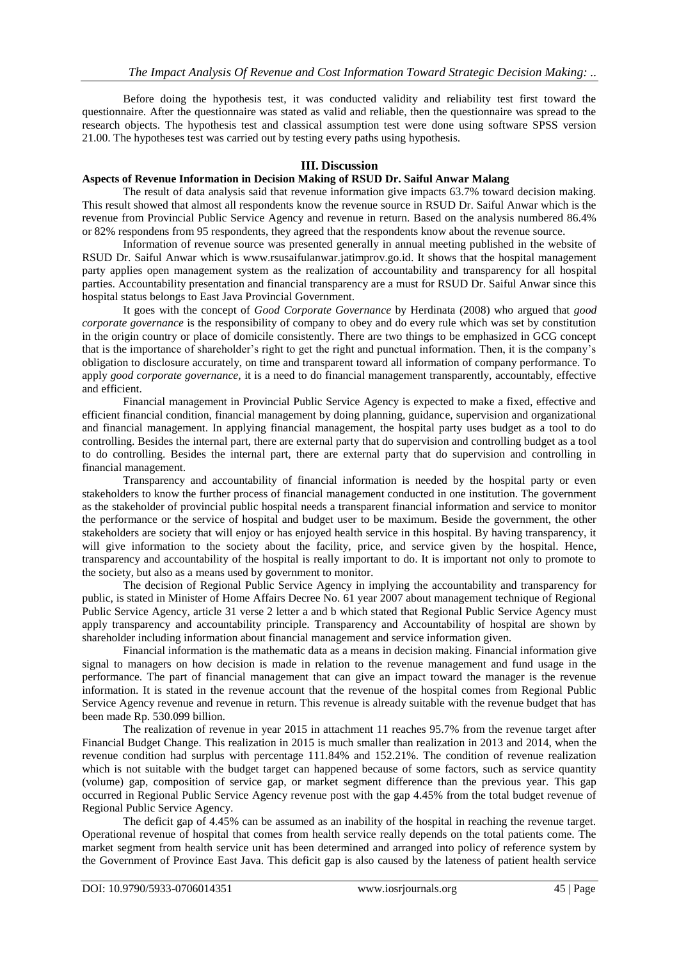Before doing the hypothesis test, it was conducted validity and reliability test first toward the questionnaire. After the questionnaire was stated as valid and reliable, then the questionnaire was spread to the research objects. The hypothesis test and classical assumption test were done using software SPSS version 21.00. The hypotheses test was carried out by testing every paths using hypothesis.

### **III. Discussion**

#### **Aspects of Revenue Information in Decision Making of RSUD Dr. Saiful Anwar Malang**

The result of data analysis said that revenue information give impacts 63.7% toward decision making. This result showed that almost all respondents know the revenue source in RSUD Dr. Saiful Anwar which is the revenue from Provincial Public Service Agency and revenue in return. Based on the analysis numbered 86.4% or 82% respondens from 95 respondents, they agreed that the respondents know about the revenue source.

Information of revenue source was presented generally in annual meeting published in the website of RSUD Dr. Saiful Anwar which is [www.rsusaifulanwar.jatimprov.go.id.](http://www.rsusaifulanwar.jatimprov.go.id/) It shows that the hospital management party applies open management system as the realization of accountability and transparency for all hospital parties. Accountability presentation and financial transparency are a must for RSUD Dr. Saiful Anwar since this hospital status belongs to East Java Provincial Government.

It goes with the concept of *Good Corporate Governance* by Herdinata (2008) who argued that *good corporate governance* is the responsibility of company to obey and do every rule which was set by constitution in the origin country or place of domicile consistently. There are two things to be emphasized in GCG concept that is the importance of shareholder's right to get the right and punctual information. Then, it is the company's obligation to disclosure accurately, on time and transparent toward all information of company performance. To apply *good corporate governance,* it is a need to do financial management transparently, accountably, effective and efficient.

Financial management in Provincial Public Service Agency is expected to make a fixed, effective and efficient financial condition, financial management by doing planning, guidance, supervision and organizational and financial management. In applying financial management, the hospital party uses budget as a tool to do controlling. Besides the internal part, there are external party that do supervision and controlling budget as a tool to do controlling. Besides the internal part, there are external party that do supervision and controlling in financial management.

Transparency and accountability of financial information is needed by the hospital party or even stakeholders to know the further process of financial management conducted in one institution. The government as the stakeholder of provincial public hospital needs a transparent financial information and service to monitor the performance or the service of hospital and budget user to be maximum. Beside the government, the other stakeholders are society that will enjoy or has enjoyed health service in this hospital. By having transparency, it will give information to the society about the facility, price, and service given by the hospital. Hence, transparency and accountability of the hospital is really important to do. It is important not only to promote to the society, but also as a means used by government to monitor.

The decision of Regional Public Service Agency in implying the accountability and transparency for public, is stated in Minister of Home Affairs Decree No. 61 year 2007 about management technique of Regional Public Service Agency, article 31 verse 2 letter a and b which stated that Regional Public Service Agency must apply transparency and accountability principle. Transparency and Accountability of hospital are shown by shareholder including information about financial management and service information given.

Financial information is the mathematic data as a means in decision making. Financial information give signal to managers on how decision is made in relation to the revenue management and fund usage in the performance. The part of financial management that can give an impact toward the manager is the revenue information. It is stated in the revenue account that the revenue of the hospital comes from Regional Public Service Agency revenue and revenue in return. This revenue is already suitable with the revenue budget that has been made Rp. 530.099 billion.

The realization of revenue in year 2015 in attachment 11 reaches 95.7% from the revenue target after Financial Budget Change. This realization in 2015 is much smaller than realization in 2013 and 2014, when the revenue condition had surplus with percentage 111.84% and 152.21%. The condition of revenue realization which is not suitable with the budget target can happened because of some factors, such as service quantity (volume) gap, composition of service gap, or market segment difference than the previous year. This gap occurred in Regional Public Service Agency revenue post with the gap 4.45% from the total budget revenue of Regional Public Service Agency.

The deficit gap of 4.45% can be assumed as an inability of the hospital in reaching the revenue target. Operational revenue of hospital that comes from health service really depends on the total patients come. The market segment from health service unit has been determined and arranged into policy of reference system by the Government of Province East Java. This deficit gap is also caused by the lateness of patient health service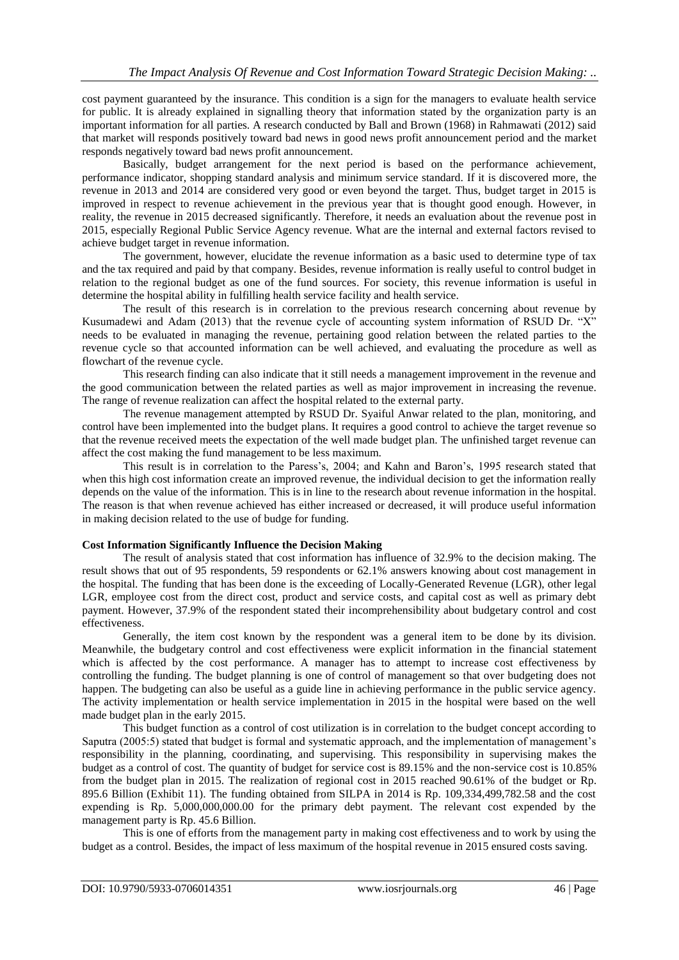cost payment guaranteed by the insurance. This condition is a sign for the managers to evaluate health service for public. It is already explained in signalling theory that information stated by the organization party is an important information for all parties. A research conducted by Ball and Brown (1968) in Rahmawati (2012) said that market will responds positively toward bad news in good news profit announcement period and the market responds negatively toward bad news profit announcement.

Basically, budget arrangement for the next period is based on the performance achievement, performance indicator, shopping standard analysis and minimum service standard. If it is discovered more, the revenue in 2013 and 2014 are considered very good or even beyond the target. Thus, budget target in 2015 is improved in respect to revenue achievement in the previous year that is thought good enough. However, in reality, the revenue in 2015 decreased significantly. Therefore, it needs an evaluation about the revenue post in 2015, especially Regional Public Service Agency revenue. What are the internal and external factors revised to achieve budget target in revenue information.

The government, however, elucidate the revenue information as a basic used to determine type of tax and the tax required and paid by that company. Besides, revenue information is really useful to control budget in relation to the regional budget as one of the fund sources. For society, this revenue information is useful in determine the hospital ability in fulfilling health service facility and health service.

The result of this research is in correlation to the previous research concerning about revenue by Kusumadewi and Adam (2013) that the revenue cycle of accounting system information of RSUD Dr. "X" needs to be evaluated in managing the revenue, pertaining good relation between the related parties to the revenue cycle so that accounted information can be well achieved, and evaluating the procedure as well as flowchart of the revenue cycle.

This research finding can also indicate that it still needs a management improvement in the revenue and the good communication between the related parties as well as major improvement in increasing the revenue. The range of revenue realization can affect the hospital related to the external party.

The revenue management attempted by RSUD Dr. Syaiful Anwar related to the plan, monitoring, and control have been implemented into the budget plans. It requires a good control to achieve the target revenue so that the revenue received meets the expectation of the well made budget plan. The unfinished target revenue can affect the cost making the fund management to be less maximum.

This result is in correlation to the Paress's, 2004; and Kahn and Baron's, 1995 research stated that when this high cost information create an improved revenue, the individual decision to get the information really depends on the value of the information. This is in line to the research about revenue information in the hospital. The reason is that when revenue achieved has either increased or decreased, it will produce useful information in making decision related to the use of budge for funding.

#### **Cost Information Significantly Influence the Decision Making**

The result of analysis stated that cost information has influence of 32.9% to the decision making. The result shows that out of 95 respondents, 59 respondents or 62.1% answers knowing about cost management in the hospital. The funding that has been done is the exceeding of Locally-Generated Revenue (LGR), other legal LGR, employee cost from the direct cost, product and service costs, and capital cost as well as primary debt payment. However, 37.9% of the respondent stated their incomprehensibility about budgetary control and cost effectiveness.

Generally, the item cost known by the respondent was a general item to be done by its division. Meanwhile, the budgetary control and cost effectiveness were explicit information in the financial statement which is affected by the cost performance. A manager has to attempt to increase cost effectiveness by controlling the funding. The budget planning is one of control of management so that over budgeting does not happen. The budgeting can also be useful as a guide line in achieving performance in the public service agency. The activity implementation or health service implementation in 2015 in the hospital were based on the well made budget plan in the early 2015.

This budget function as a control of cost utilization is in correlation to the budget concept according to Saputra (2005:5) stated that budget is formal and systematic approach, and the implementation of management's responsibility in the planning, coordinating, and supervising. This responsibility in supervising makes the budget as a control of cost. The quantity of budget for service cost is 89.15% and the non-service cost is 10.85% from the budget plan in 2015. The realization of regional cost in 2015 reached 90.61% of the budget or Rp. 895.6 Billion (Exhibit 11). The funding obtained from SILPA in 2014 is Rp. 109,334,499,782.58 and the cost expending is Rp. 5,000,000,000.00 for the primary debt payment. The relevant cost expended by the management party is Rp. 45.6 Billion.

This is one of efforts from the management party in making cost effectiveness and to work by using the budget as a control. Besides, the impact of less maximum of the hospital revenue in 2015 ensured costs saving.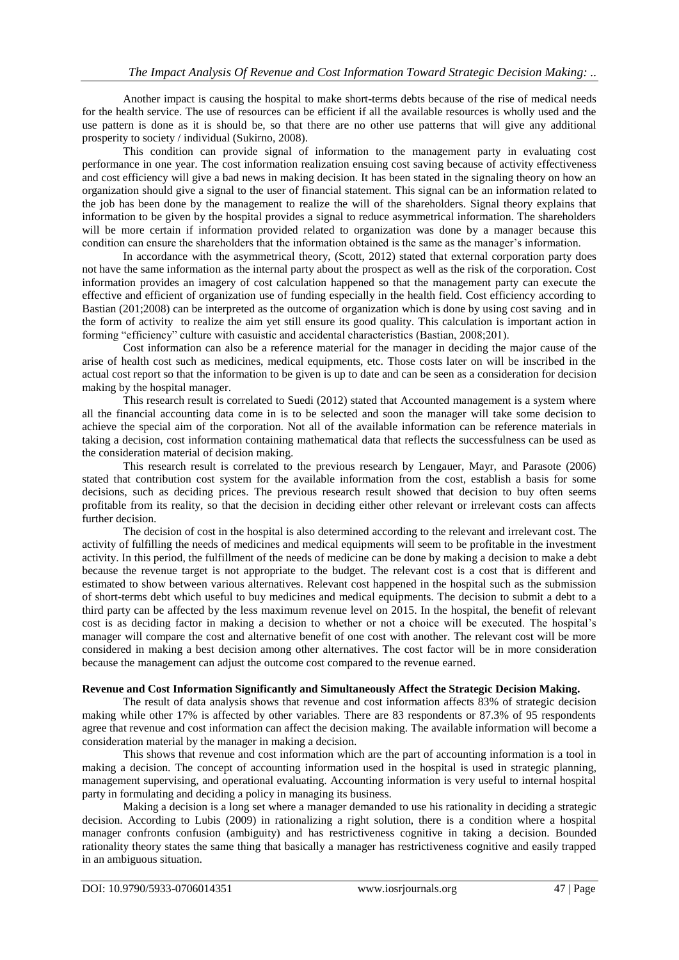Another impact is causing the hospital to make short-terms debts because of the rise of medical needs for the health service. The use of resources can be efficient if all the available resources is wholly used and the use pattern is done as it is should be, so that there are no other use patterns that will give any additional prosperity to society / individual (Sukirno, 2008).

This condition can provide signal of information to the management party in evaluating cost performance in one year. The cost information realization ensuing cost saving because of activity effectiveness and cost efficiency will give a bad news in making decision. It has been stated in the signaling theory on how an organization should give a signal to the user of financial statement. This signal can be an information related to the job has been done by the management to realize the will of the shareholders. Signal theory explains that information to be given by the hospital provides a signal to reduce asymmetrical information. The shareholders will be more certain if information provided related to organization was done by a manager because this condition can ensure the shareholders that the information obtained is the same as the manager's information.

In accordance with the asymmetrical theory, (Scott, 2012) stated that external corporation party does not have the same information as the internal party about the prospect as well as the risk of the corporation. Cost information provides an imagery of cost calculation happened so that the management party can execute the effective and efficient of organization use of funding especially in the health field. Cost efficiency according to Bastian (201;2008) can be interpreted as the outcome of organization which is done by using cost saving and in the form of activity to realize the aim yet still ensure its good quality. This calculation is important action in forming "efficiency" culture with casuistic and accidental characteristics (Bastian, 2008;201).

Cost information can also be a reference material for the manager in deciding the major cause of the arise of health cost such as medicines, medical equipments, etc. Those costs later on will be inscribed in the actual cost report so that the information to be given is up to date and can be seen as a consideration for decision making by the hospital manager.

This research result is correlated to Suedi (2012) stated that Accounted management is a system where all the financial accounting data come in is to be selected and soon the manager will take some decision to achieve the special aim of the corporation. Not all of the available information can be reference materials in taking a decision, cost information containing mathematical data that reflects the successfulness can be used as the consideration material of decision making.

This research result is correlated to the previous research by Lengauer, Mayr, and Parasote (2006) stated that contribution cost system for the available information from the cost, establish a basis for some decisions, such as deciding prices. The previous research result showed that decision to buy often seems profitable from its reality, so that the decision in deciding either other relevant or irrelevant costs can affects further decision.

The decision of cost in the hospital is also determined according to the relevant and irrelevant cost. The activity of fulfilling the needs of medicines and medical equipments will seem to be profitable in the investment activity. In this period, the fulfillment of the needs of medicine can be done by making a decision to make a debt because the revenue target is not appropriate to the budget. The relevant cost is a cost that is different and estimated to show between various alternatives. Relevant cost happened in the hospital such as the submission of short-terms debt which useful to buy medicines and medical equipments. The decision to submit a debt to a third party can be affected by the less maximum revenue level on 2015. In the hospital, the benefit of relevant cost is as deciding factor in making a decision to whether or not a choice will be executed. The hospital's manager will compare the cost and alternative benefit of one cost with another. The relevant cost will be more considered in making a best decision among other alternatives. The cost factor will be in more consideration because the management can adjust the outcome cost compared to the revenue earned.

#### **Revenue and Cost Information Significantly and Simultaneously Affect the Strategic Decision Making.**

The result of data analysis shows that revenue and cost information affects 83% of strategic decision making while other 17% is affected by other variables. There are 83 respondents or 87.3% of 95 respondents agree that revenue and cost information can affect the decision making. The available information will become a consideration material by the manager in making a decision.

This shows that revenue and cost information which are the part of accounting information is a tool in making a decision. The concept of accounting information used in the hospital is used in strategic planning, management supervising, and operational evaluating. Accounting information is very useful to internal hospital party in formulating and deciding a policy in managing its business.

Making a decision is a long set where a manager demanded to use his rationality in deciding a strategic decision. According to Lubis (2009) in rationalizing a right solution, there is a condition where a hospital manager confronts confusion (ambiguity) and has restrictiveness cognitive in taking a decision. Bounded rationality theory states the same thing that basically a manager has restrictiveness cognitive and easily trapped in an ambiguous situation.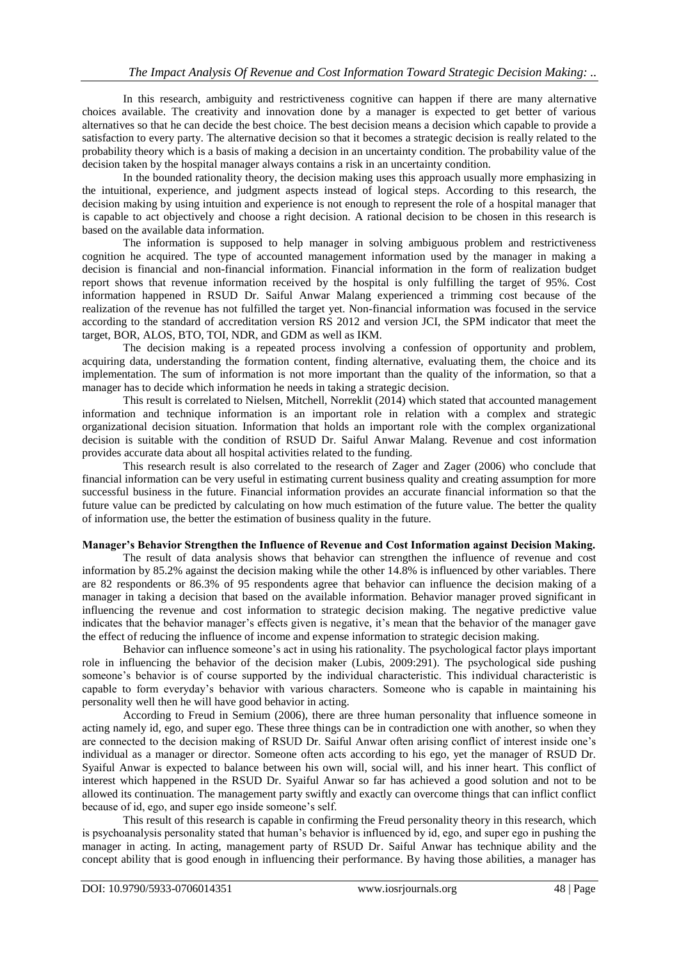In this research, ambiguity and restrictiveness cognitive can happen if there are many alternative choices available. The creativity and innovation done by a manager is expected to get better of various alternatives so that he can decide the best choice. The best decision means a decision which capable to provide a satisfaction to every party. The alternative decision so that it becomes a strategic decision is really related to the probability theory which is a basis of making a decision in an uncertainty condition. The probability value of the decision taken by the hospital manager always contains a risk in an uncertainty condition.

In the bounded rationality theory, the decision making uses this approach usually more emphasizing in the intuitional, experience, and judgment aspects instead of logical steps. According to this research, the decision making by using intuition and experience is not enough to represent the role of a hospital manager that is capable to act objectively and choose a right decision. A rational decision to be chosen in this research is based on the available data information.

The information is supposed to help manager in solving ambiguous problem and restrictiveness cognition he acquired. The type of accounted management information used by the manager in making a decision is financial and non-financial information. Financial information in the form of realization budget report shows that revenue information received by the hospital is only fulfilling the target of 95%. Cost information happened in RSUD Dr. Saiful Anwar Malang experienced a trimming cost because of the realization of the revenue has not fulfilled the target yet. Non-financial information was focused in the service according to the standard of accreditation version RS 2012 and version JCI, the SPM indicator that meet the target, BOR, ALOS, BTO, TOI, NDR, and GDM as well as IKM.

The decision making is a repeated process involving a confession of opportunity and problem, acquiring data, understanding the formation content, finding alternative, evaluating them, the choice and its implementation. The sum of information is not more important than the quality of the information, so that a manager has to decide which information he needs in taking a strategic decision.

This result is correlated to Nielsen, Mitchell, Norreklit (2014) which stated that accounted management information and technique information is an important role in relation with a complex and strategic organizational decision situation. Information that holds an important role with the complex organizational decision is suitable with the condition of RSUD Dr. Saiful Anwar Malang. Revenue and cost information provides accurate data about all hospital activities related to the funding.

This research result is also correlated to the research of Zager and Zager (2006) who conclude that financial information can be very useful in estimating current business quality and creating assumption for more successful business in the future. Financial information provides an accurate financial information so that the future value can be predicted by calculating on how much estimation of the future value. The better the quality of information use, the better the estimation of business quality in the future.

#### **Manager's Behavior Strengthen the Influence of Revenue and Cost Information against Decision Making.**

The result of data analysis shows that behavior can strengthen the influence of revenue and cost information by 85.2% against the decision making while the other 14.8% is influenced by other variables. There are 82 respondents or 86.3% of 95 respondents agree that behavior can influence the decision making of a manager in taking a decision that based on the available information. Behavior manager proved significant in influencing the revenue and cost information to strategic decision making. The negative predictive value indicates that the behavior manager's effects given is negative, it's mean that the behavior of the manager gave the effect of reducing the influence of income and expense information to strategic decision making.

Behavior can influence someone's act in using his rationality. The psychological factor plays important role in influencing the behavior of the decision maker (Lubis, 2009:291). The psychological side pushing someone's behavior is of course supported by the individual characteristic. This individual characteristic is capable to form everyday's behavior with various characters. Someone who is capable in maintaining his personality well then he will have good behavior in acting.

According to Freud in Semium (2006), there are three human personality that influence someone in acting namely id, ego, and super ego. These three things can be in contradiction one with another, so when they are connected to the decision making of RSUD Dr. Saiful Anwar often arising conflict of interest inside one's individual as a manager or director. Someone often acts according to his ego, yet the manager of RSUD Dr. Syaiful Anwar is expected to balance between his own will, social will, and his inner heart. This conflict of interest which happened in the RSUD Dr. Syaiful Anwar so far has achieved a good solution and not to be allowed its continuation. The management party swiftly and exactly can overcome things that can inflict conflict because of id, ego, and super ego inside someone's self.

This result of this research is capable in confirming the Freud personality theory in this research, which is psychoanalysis personality stated that human's behavior is influenced by id, ego, and super ego in pushing the manager in acting. In acting, management party of RSUD Dr. Saiful Anwar has technique ability and the concept ability that is good enough in influencing their performance. By having those abilities, a manager has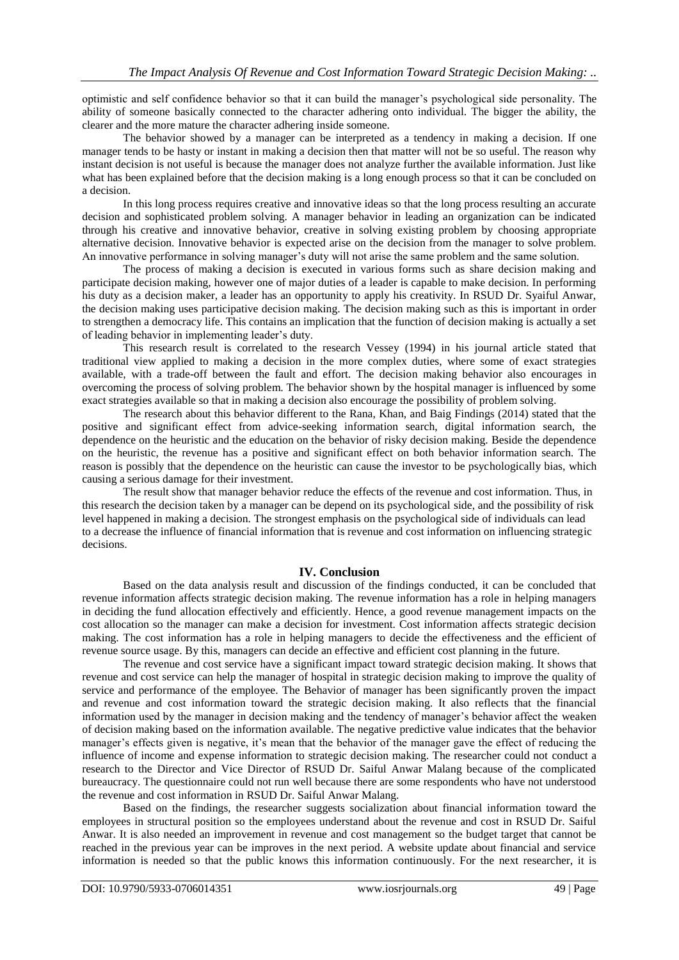optimistic and self confidence behavior so that it can build the manager's psychological side personality. The ability of someone basically connected to the character adhering onto individual. The bigger the ability, the clearer and the more mature the character adhering inside someone.

The behavior showed by a manager can be interpreted as a tendency in making a decision. If one manager tends to be hasty or instant in making a decision then that matter will not be so useful. The reason why instant decision is not useful is because the manager does not analyze further the available information. Just like what has been explained before that the decision making is a long enough process so that it can be concluded on a decision.

In this long process requires creative and innovative ideas so that the long process resulting an accurate decision and sophisticated problem solving. A manager behavior in leading an organization can be indicated through his creative and innovative behavior, creative in solving existing problem by choosing appropriate alternative decision. Innovative behavior is expected arise on the decision from the manager to solve problem. An innovative performance in solving manager's duty will not arise the same problem and the same solution.

The process of making a decision is executed in various forms such as share decision making and participate decision making, however one of major duties of a leader is capable to make decision. In performing his duty as a decision maker, a leader has an opportunity to apply his creativity. In RSUD Dr. Syaiful Anwar, the decision making uses participative decision making. The decision making such as this is important in order to strengthen a democracy life. This contains an implication that the function of decision making is actually a set of leading behavior in implementing leader's duty.

This research result is correlated to the research Vessey (1994) in his journal article stated that traditional view applied to making a decision in the more complex duties, where some of exact strategies available, with a trade-off between the fault and effort. The decision making behavior also encourages in overcoming the process of solving problem. The behavior shown by the hospital manager is influenced by some exact strategies available so that in making a decision also encourage the possibility of problem solving.

The research about this behavior different to the Rana, Khan, and Baig Findings (2014) stated that the positive and significant effect from advice-seeking information search, digital information search, the dependence on the heuristic and the education on the behavior of risky decision making. Beside the dependence on the heuristic, the revenue has a positive and significant effect on both behavior information search. The reason is possibly that the dependence on the heuristic can cause the investor to be psychologically bias, which causing a serious damage for their investment.

The result show that manager behavior reduce the effects of the revenue and cost information. Thus, in this research the decision taken by a manager can be depend on its psychological side, and the possibility of risk level happened in making a decision. The strongest emphasis on the psychological side of individuals can lead to a decrease the influence of financial information that is revenue and cost information on influencing strategic decisions.

#### **IV. Conclusion**

Based on the data analysis result and discussion of the findings conducted, it can be concluded that revenue information affects strategic decision making. The revenue information has a role in helping managers in deciding the fund allocation effectively and efficiently. Hence, a good revenue management impacts on the cost allocation so the manager can make a decision for investment. Cost information affects strategic decision making. The cost information has a role in helping managers to decide the effectiveness and the efficient of revenue source usage. By this, managers can decide an effective and efficient cost planning in the future.

The revenue and cost service have a significant impact toward strategic decision making. It shows that revenue and cost service can help the manager of hospital in strategic decision making to improve the quality of service and performance of the employee. The Behavior of manager has been significantly proven the impact and revenue and cost information toward the strategic decision making. It also reflects that the financial information used by the manager in decision making and the tendency of manager's behavior affect the weaken of decision making based on the information available. The negative predictive value indicates that the behavior manager's effects given is negative, it's mean that the behavior of the manager gave the effect of reducing the influence of income and expense information to strategic decision making. The researcher could not conduct a research to the Director and Vice Director of RSUD Dr. Saiful Anwar Malang because of the complicated bureaucracy. The questionnaire could not run well because there are some respondents who have not understood the revenue and cost information in RSUD Dr. Saiful Anwar Malang.

Based on the findings, the researcher suggests socialization about financial information toward the employees in structural position so the employees understand about the revenue and cost in RSUD Dr. Saiful Anwar. It is also needed an improvement in revenue and cost management so the budget target that cannot be reached in the previous year can be improves in the next period. A website update about financial and service information is needed so that the public knows this information continuously. For the next researcher, it is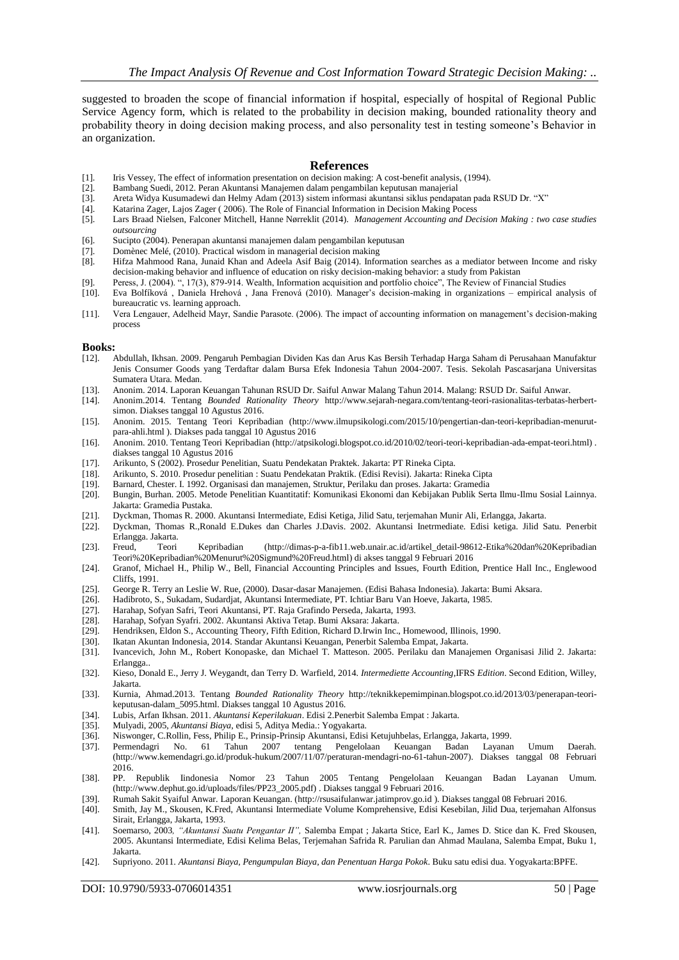suggested to broaden the scope of financial information if hospital, especially of hospital of Regional Public Service Agency form, which is related to the probability in decision making, bounded rationality theory and probability theory in doing decision making process, and also personality test in testing someone's Behavior in an organization.

#### **References**

- [1]. Iris Vessey, The effect of information presentation on decision making: A cost-benefit analysis, (1994).
- [2]. Bambang Suedi, 2012. Peran Akuntansi Manajemen dalam pengambilan keputusan manajerial
- [3]. Areta Widya Kusumadewi dan Helmy Adam (2013) sistem informasi akuntansi siklus pendapatan pada RSUD Dr. "X"
- [4]. Katarina Zager, Lajos Zager ( 2006). The Role of Financial Information in Decision Making Pocess<br>[5]. Lars Braad Nielsen, Falconer Mitchell, Hanne Nørreklit (2014). *Management Accounting and Dec*
- Lars Braad Nielsen, Falconer Mitchell, Hanne Nørreklit (2014). *Management Accounting and Decision Making : two case studies outsourcing*
- [6]. Sucipto (2004). Penerapan akuntansi manajemen dalam pengambilan keputusan
- [7]. [Domènec Melé,](http://www.emeraldinsight.com/author/Mel%C3%A9%2C+Dom%C3%A8nec) (2010). Practical wisdom in managerial decision making [8]. Hifza Mahmood Rana, Junaid Khan and Adeela Asif Baig (2014). Infor
- Hifza Mahmood Rana, Junaid Khan and Adeela Asif Baig (2014). Information searches as a mediator between Income and risky decision-making behavior and influence of education on risky decision-making behavior: a study from Pakistan
- [9]. Peress, J. (2004). ", 17(3), 879-914. Wealth, Information acquisition and portfolio choice", The Review of Financial Studies [10]. Eva Bolfiková, Daniela Hrehová, Jana Frenová (2010). Manager's decision-making in orga
- [10]. Eva Bolfíková , Daniela Hrehová , Jana Frenová (2010). Manager's decision-making in organizations empirical analysis of bureaucratic vs. learning approach.
- [11]. Vera Lengauer, Adelheid Mayr, Sandie Parasote. (2006). The impact of accounting information on management's decision-making process

# **Books:**<br>[12].

- [12]. Abdullah, Ikhsan. 2009. Pengaruh Pembagian Dividen Kas dan Arus Kas Bersih Terhadap Harga Saham di Perusahaan Manufaktur Jenis Consumer Goods yang Terdaftar dalam Bursa Efek Indonesia Tahun 2004-2007. Tesis. Sekolah Pascasarjana Universitas Sumatera Utara. Medan.
- 
- [13]. Anonim. 2014. Laporan Keuangan Tahunan RSUD Dr. Saiful Anwar Malang Tahun 2014. Malang: RSUD Dr. Saiful Anwar.<br>[14]. Anonim. 2014. Tentang *Bounded Rationality Theory* http://www.sejarah-negara.com/tentang-teori-rasi [14]. Anonim.2014. Tentang *Bounded Rationality Theory* [http://www.sejarah-negara.com/tentang-teori-rasionalitas-terbatas-herbert](http://www.sejarah-negara.com/tentang-teori-rasionalitas-terbatas-herbert-simon)[simon.](http://www.sejarah-negara.com/tentang-teori-rasionalitas-terbatas-herbert-simon) Diakses tanggal 10 Agustus 2016.
- [15]. Anonim. 2015. Tentang Teori Kepribadian [\(http://www.ilmupsikologi.com/2015/10/pengertian-dan-teori-kepribadian-menurut](http://www.ilmupsikologi.com/2015/10/pengertian-dan-teori-kepribadian-menurut-para-ahli.html)[para-ahli.html](http://www.ilmupsikologi.com/2015/10/pengertian-dan-teori-kepribadian-menurut-para-ahli.html) ). Diakses pada tanggal 10 Agustus 2016
- [16]. Anonim. 2010. Tentang Teori Kepribadian (http://atpsikologi.blogspot.co.id/2010/02/teori-teori-kepribadian-ada-empat-teori.html) . diakses tanggal 10 Agustus 2016
- [17]. Arikunto, S (2002). Prosedur Penelitian, Suatu Pendekatan Praktek. Jakarta: PT Rineka Cipta.
- [18]. Arikunto, S. 2010. Prosedur penelitian : Suatu Pendekatan Praktik. (Edisi Revisi). Jakarta: Rineka Cipta
- [19]. Barnard, Chester. I. 1992. Organisasi dan manajemen, Struktur, Perilaku dan proses. Jakarta: Gramedia
- [20]. Bungin, Burhan. 2005. Metode Penelitian Kuantitatif: Komunikasi Ekonomi dan Kebijakan Publik Serta Ilmu-Ilmu Sosial Lainnya. Jakarta: Gramedia Pustaka.
- [21]. Dyckman, Thomas R. 2000. Akuntansi Intermediate, Edisi Ketiga, Jilid Satu, terjemahan Munir Ali, Erlangga, Jakarta.
- [22]. Dyckman, Thomas R.,Ronald E.Dukes dan Charles J.Davis. 2002. Akuntansi Inetrmediate. Edisi ketiga. Jilid Satu. Penerbit
- Erlangga. Jakarta. [23]. Freud, Teori Kepribadian [\(http://dimas-p-a-fib11.web.unair.ac.id/artikel\\_detail-98612-Etika%20dan%20Kepribadian](http://dimas-p-a-fib11.web.unair.ac.id/artikel_detail-98612-Etika%20dan%20Kepribadian%20Teori%20Kepribadian%20Menurut%20Sigmund%20Freud.html)  [Teori%20Kepribadian%20Menurut%20Sigmund%20Freud.html\)](http://dimas-p-a-fib11.web.unair.ac.id/artikel_detail-98612-Etika%20dan%20Kepribadian%20Teori%20Kepribadian%20Menurut%20Sigmund%20Freud.html) di akses tanggal 9 Februari 2016
- [24]. Granof, Michael H., Philip W., Bell, Financial Accounting Principles and Issues, Fourth Edition, Prentice Hall Inc., Englewood Cliffs, 1991.
- [25]. George R. Terry an Leslie W. Rue, (2000). Dasar-dasar Manajemen. (Edisi Bahasa Indonesia). Jakarta: Bumi Aksara.
- [26]. Hadibroto, S., Sukadam, Sudardjat, Akuntansi Intermediate, PT. Ichtiar Baru Van Hoeve, Jakarta, 1985.
- [27]. Harahap, Sofyan Safri, Teori Akuntansi, PT. Raja Grafindo Perseda, Jakarta, 1993.
- 
- [28]. Harahap, Sofyan Syafri. 2002. Akuntansi Aktiva Tetap. Bumi Aksara: Jakarta. Hendriksen, Eldon S., Accounting Theory, Fifth Edition, Richard D.Irwin Inc., Homewood, Illinois, 1990.
- [30]. Ikatan Akuntan Indonesia, 2014. Standar Akuntansi Keuangan, Penerbit Salemba Empat, Jakarta.
- [31]. Ivancevich, John M., Robert Konopaske, dan Michael T. Matteson. 2005. Perilaku dan Manajemen Organisasi Jilid 2. Jakarta: Erlangga..
- [32]. Kieso, Donald E., Jerry J. Weygandt, dan Terry D. Warfield, 2014. *Intermediette Accounting*,IFRS *Edition*. Second Edition, Willey, Jakarta.
- [33]. Kurnia, Ahmad.2013. Tentang *Bounded Rationality Theory* [http://teknikkepemimpinan.blogspot.co.id/2013/03/penerapan-teori](http://teknikkepemimpinan.blogspot.co.id/2013/03/penerapan-teori-keputusan-dalam_5095.html)[keputusan-dalam\\_5095.html.](http://teknikkepemimpinan.blogspot.co.id/2013/03/penerapan-teori-keputusan-dalam_5095.html) Diakses tanggal 10 Agustus 2016.
- [34]. Lubis, Arfan Ikhsan. 2011. *Akuntansi Keperilakuan*. Edisi 2.Penerbit Salemba Empat : Jakarta.
- [35]. Mulyadi, 2005, *Akuntansi Biaya*, edisi 5, Aditya Media.: Yogyakarta.
- [36]. Niswonger, C.Rollin, Fess, Philip E., Prinsip-Prinsip Akuntansi, Edisi Ketujuhbelas, Erlangga, Jakarta, 1999.
- [37]. Permendagri No. 61 Tahun 2007 tentang Pengelolaan Keuangan Badan Layanan Umum Daerah. [\(http://www.kemendagri.go.id/produk-hukum/2007/11/07/peraturan-mendagri-no-61-tahun-2007\)](http://www.kemendagri.go.id/produk-hukum/2007/11/07/peraturan-mendagri-no-61-tahun-2007). Diakses tanggal 08 Februari 2016.
- [38]. PP. Republik Iindonesia Nomor 23 Tahun 2005 Tentang Pengelolaan Keuangan Badan Layanan Umum. (http://www.dephut.go.id/uploads/files/PP23\_2005.pdf) . Diakses tanggal 9 Februari 2016.
- [39]. Rumah Sakit Syaiful Anwar. Laporan Keuangan. [\(http://rsusaifulanwar.jatimprov.go.id](http://rsusaifulanwar.jatimprov.go.id/) ). Diakses tanggal 08 Februari 2016.
- [40]. Smith, Jay M., Skousen, K.Fred, Akuntansi Intermediate Volume Komprehensive, Edisi Kesebilan, Jilid Dua, terjemahan Alfonsus Sirait, Erlangga, Jakarta, 1993.
- [41]. Soemarso, 2003*, "Akuntansi Suatu Pengantar II",* Salemba Empat ; Jakarta Stice, Earl K., James D. Stice dan K. Fred Skousen, 2005. Akuntansi Intermediate, Edisi Kelima Belas, Terjemahan Safrida R. Parulian dan Ahmad Maulana, Salemba Empat, Buku 1, Jakarta.
- [42]. Supriyono. 2011. *Akuntansi Biaya, Pengumpulan Biaya, dan Penentuan Harga Pokok*. Buku satu edisi dua. Yogyakarta:BPFE.